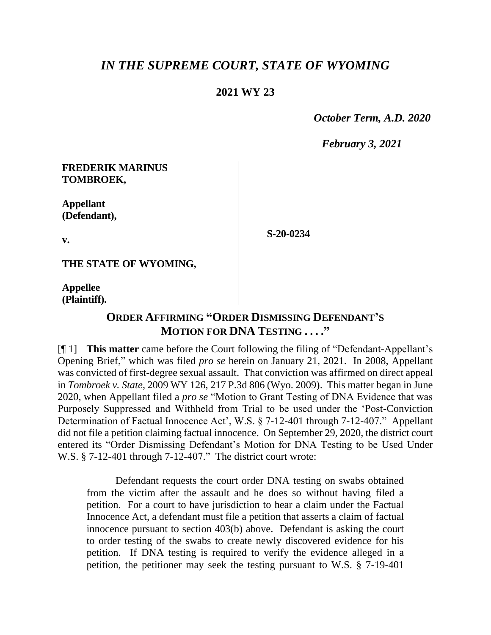# *IN THE SUPREME COURT, STATE OF WYOMING*

### **2021 WY 23**

 *October Term, A.D. 2020*

*February 3, 2021*

#### **FREDERIK MARINUS TOMBROEK,**

**Appellant (Defendant),**

**S-20-0234**

**v.**

**THE STATE OF WYOMING,**

**Appellee (Plaintiff).**

# **ORDER AFFIRMING "ORDER DISMISSING DEFENDANT'S MOTION FOR DNA TESTING . . . ."**

[¶ 1] **This matter** came before the Court following the filing of "Defendant-Appellant's Opening Brief," which was filed *pro se* herein on January 21, 2021. In 2008, Appellant was convicted of first-degree sexual assault. That conviction was affirmed on direct appeal in *Tombroek v. State*, 2009 WY 126, 217 P.3d 806 (Wyo. 2009). This matter began in June 2020, when Appellant filed a *pro se* "Motion to Grant Testing of DNA Evidence that was Purposely Suppressed and Withheld from Trial to be used under the 'Post-Conviction Determination of Factual Innocence Act', W.S. § 7-12-401 through 7-12-407." Appellant did not file a petition claiming factual innocence. On September 29, 2020, the district court entered its "Order Dismissing Defendant's Motion for DNA Testing to be Used Under W.S. § 7-12-401 through 7-12-407." The district court wrote:

Defendant requests the court order DNA testing on swabs obtained from the victim after the assault and he does so without having filed a petition. For a court to have jurisdiction to hear a claim under the Factual Innocence Act, a defendant must file a petition that asserts a claim of factual innocence pursuant to section 403(b) above. Defendant is asking the court to order testing of the swabs to create newly discovered evidence for his petition. If DNA testing is required to verify the evidence alleged in a petition, the petitioner may seek the testing pursuant to W.S. § 7-19-401